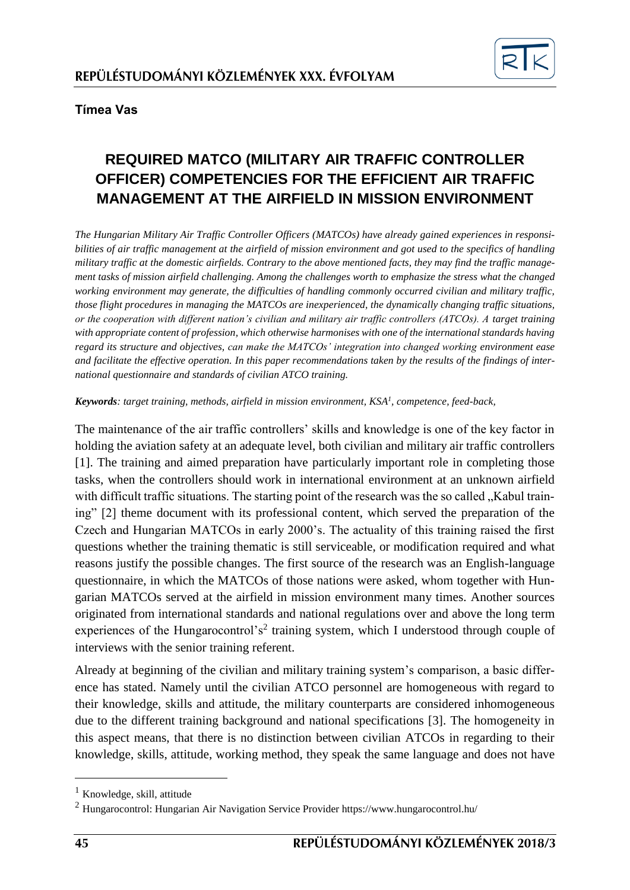

#### **Tímea Vas**

# **REQUIRED MATCO (MILITARY AIR TRAFFIC CONTROLLER OFFICER) COMPETENCIES FOR THE EFFICIENT AIR TRAFFIC MANAGEMENT AT THE AIRFIELD IN MISSION ENVIRONMENT**

*The Hungarian Military Air Traffic Controller Officers (MATCOs) have already gained experiences in responsibilities of air traffic management at the airfield of mission environment and got used to the specifics of handling military traffic at the domestic airfields. Contrary to the above mentioned facts, they may find the traffic management tasks of mission airfield challenging. Among the challenges worth to emphasize the stress what the changed working environment may generate, the difficulties of handling commonly occurred civilian and military traffic, those flight procedures in managing the MATCOs are inexperienced, the dynamically changing traffic situations, or the cooperation with different nation's civilian and military air traffic controllers (ATCOs). A target training with appropriate content of profession, which otherwise harmonises with one of the international standards having regard its structure and objectives, can make the MATCOs' integration into changed working environment ease and facilitate the effective operation. In this paper recommendations taken by the results of the findings of international questionnaire and standards of civilian ATCO training.*

*Keywords: target training, methods, airfield in mission environment, KSA<sup>1</sup> , competence, feed-back,* 

The maintenance of the air traffic controllers' skills and knowledge is one of the key factor in holding the aviation safety at an adequate level, both civilian and military air traffic controllers [1]. The training and aimed preparation have particularly important role in completing those tasks, when the controllers should work in international environment at an unknown airfield with difficult traffic situations. The starting point of the research was the so called "Kabul training" [2] theme document with its professional content, which served the preparation of the Czech and Hungarian MATCOs in early 2000's. The actuality of this training raised the first questions whether the training thematic is still serviceable, or modification required and what reasons justify the possible changes. The first source of the research was an English-language questionnaire, in which the MATCOs of those nations were asked, whom together with Hungarian MATCOs served at the airfield in mission environment many times. Another sources originated from international standards and national regulations over and above the long term experiences of the Hungarocontrol's<sup>2</sup> training system, which I understood through couple of interviews with the senior training referent.

Already at beginning of the civilian and military training system's comparison, a basic difference has stated. Namely until the civilian ATCO personnel are homogeneous with regard to their knowledge, skills and attitude, the military counterparts are considered inhomogeneous due to the different training background and national specifications [3]. The homogeneity in this aspect means, that there is no distinction between civilian ATCOs in regarding to their knowledge, skills, attitude, working method, they speak the same language and does not have

 $\overline{a}$ 

 $<sup>1</sup>$  Knowledge, skill, attitude</sup>

<sup>2</sup> Hungarocontrol: Hungarian Air Navigation Service Provider https://www.hungarocontrol.hu/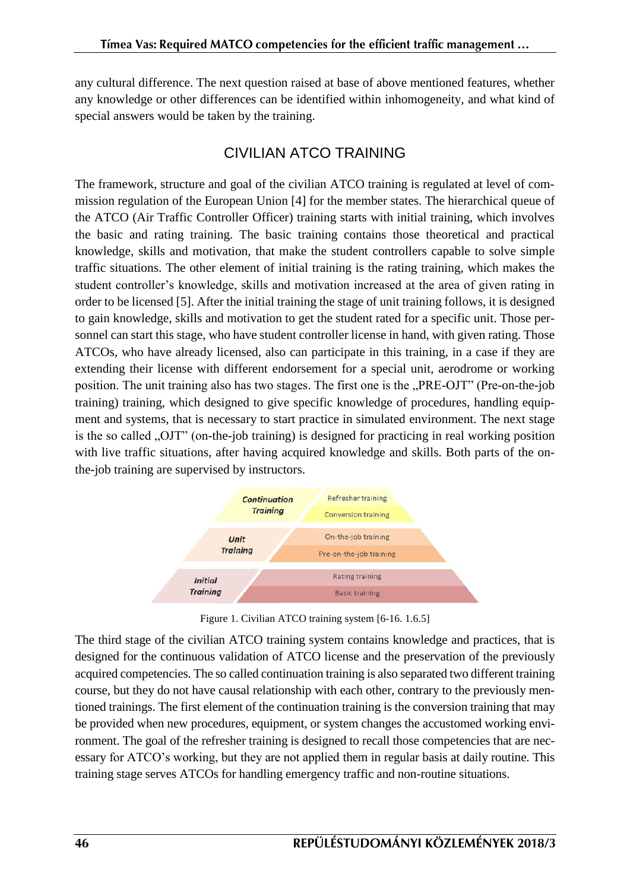any cultural difference. The next question raised at base of above mentioned features, whether any knowledge or other differences can be identified within inhomogeneity, and what kind of special answers would be taken by the training.

# CIVILIAN ATCO TRAINING

The framework, structure and goal of the civilian ATCO training is regulated at level of commission regulation of the European Union [4] for the member states. The hierarchical queue of the ATCO (Air Traffic Controller Officer) training starts with initial training, which involves the basic and rating training. The basic training contains those theoretical and practical knowledge, skills and motivation, that make the student controllers capable to solve simple traffic situations. The other element of initial training is the rating training, which makes the student controller's knowledge, skills and motivation increased at the area of given rating in order to be licensed [5]. After the initial training the stage of unit training follows, it is designed to gain knowledge, skills and motivation to get the student rated for a specific unit. Those personnel can start this stage, who have student controller license in hand, with given rating. Those ATCOs, who have already licensed, also can participate in this training, in a case if they are extending their license with different endorsement for a special unit, aerodrome or working position. The unit training also has two stages. The first one is the "PRE-OJT" (Pre-on-the-job training) training, which designed to give specific knowledge of procedures, handling equipment and systems, that is necessary to start practice in simulated environment. The next stage is the so called , OJT" (on-the-job training) is designed for practicing in real working position with live traffic situations, after having acquired knowledge and skills. Both parts of the onthe-job training are supervised by instructors.



Figure 1. Civilian ATCO training system [6-16. 1.6.5]

The third stage of the civilian ATCO training system contains knowledge and practices, that is designed for the continuous validation of ATCO license and the preservation of the previously acquired competencies. The so called continuation training is also separated two different training course, but they do not have causal relationship with each other, contrary to the previously mentioned trainings. The first element of the continuation training is the conversion training that may be provided when new procedures, equipment, or system changes the accustomed working environment. The goal of the refresher training is designed to recall those competencies that are necessary for ATCO's working, but they are not applied them in regular basis at daily routine. This training stage serves ATCOs for handling emergency traffic and non-routine situations.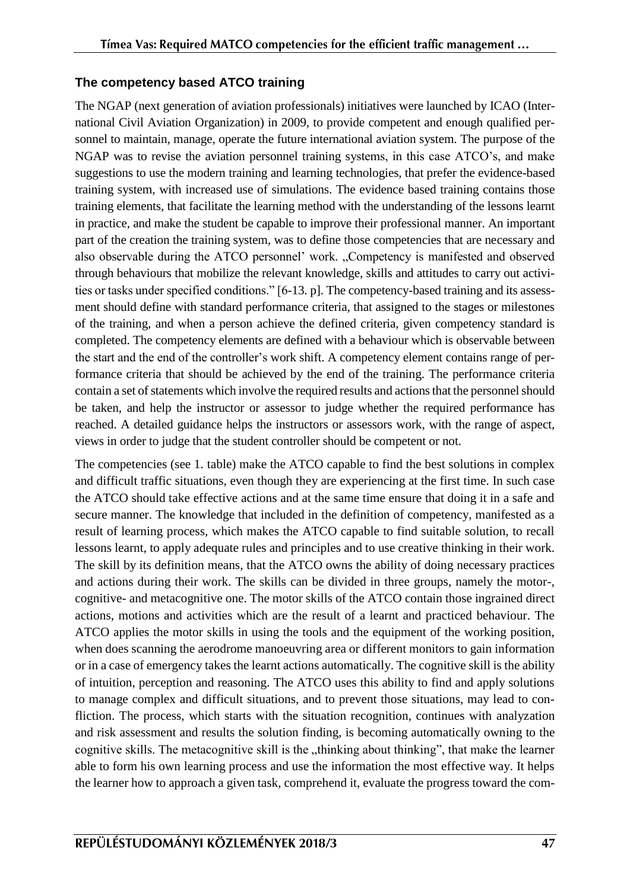#### **The competency based ATCO training**

The NGAP (next generation of aviation professionals) initiatives were launched by ICAO (International Civil Aviation Organization) in 2009, to provide competent and enough qualified personnel to maintain, manage, operate the future international aviation system. The purpose of the NGAP was to revise the aviation personnel training systems, in this case ATCO's, and make suggestions to use the modern training and learning technologies, that prefer the evidence-based training system, with increased use of simulations. The evidence based training contains those training elements, that facilitate the learning method with the understanding of the lessons learnt in practice, and make the student be capable to improve their professional manner. An important part of the creation the training system, was to define those competencies that are necessary and also observable during the ATCO personnel' work. "Competency is manifested and observed through behaviours that mobilize the relevant knowledge, skills and attitudes to carry out activities or tasks under specified conditions." [6-13. p]. The competency-based training and its assessment should define with standard performance criteria, that assigned to the stages or milestones of the training, and when a person achieve the defined criteria, given competency standard is completed. The competency elements are defined with a behaviour which is observable between the start and the end of the controller's work shift. A competency element contains range of performance criteria that should be achieved by the end of the training. The performance criteria contain a set of statements which involve the required results and actions that the personnel should be taken, and help the instructor or assessor to judge whether the required performance has reached. A detailed guidance helps the instructors or assessors work, with the range of aspect, views in order to judge that the student controller should be competent or not.

The competencies (see 1. table) make the ATCO capable to find the best solutions in complex and difficult traffic situations, even though they are experiencing at the first time. In such case the ATCO should take effective actions and at the same time ensure that doing it in a safe and secure manner. The knowledge that included in the definition of competency, manifested as a result of learning process, which makes the ATCO capable to find suitable solution, to recall lessons learnt, to apply adequate rules and principles and to use creative thinking in their work. The skill by its definition means, that the ATCO owns the ability of doing necessary practices and actions during their work. The skills can be divided in three groups, namely the motor-, cognitive- and metacognitive one. The motor skills of the ATCO contain those ingrained direct actions, motions and activities which are the result of a learnt and practiced behaviour. The ATCO applies the motor skills in using the tools and the equipment of the working position, when does scanning the aerodrome manoeuvring area or different monitors to gain information or in a case of emergency takes the learnt actions automatically. The cognitive skill is the ability of intuition, perception and reasoning. The ATCO uses this ability to find and apply solutions to manage complex and difficult situations, and to prevent those situations, may lead to confliction. The process, which starts with the situation recognition, continues with analyzation and risk assessment and results the solution finding, is becoming automatically owning to the cognitive skills. The metacognitive skill is the "thinking about thinking", that make the learner able to form his own learning process and use the information the most effective way. It helps the learner how to approach a given task, comprehend it, evaluate the progress toward the com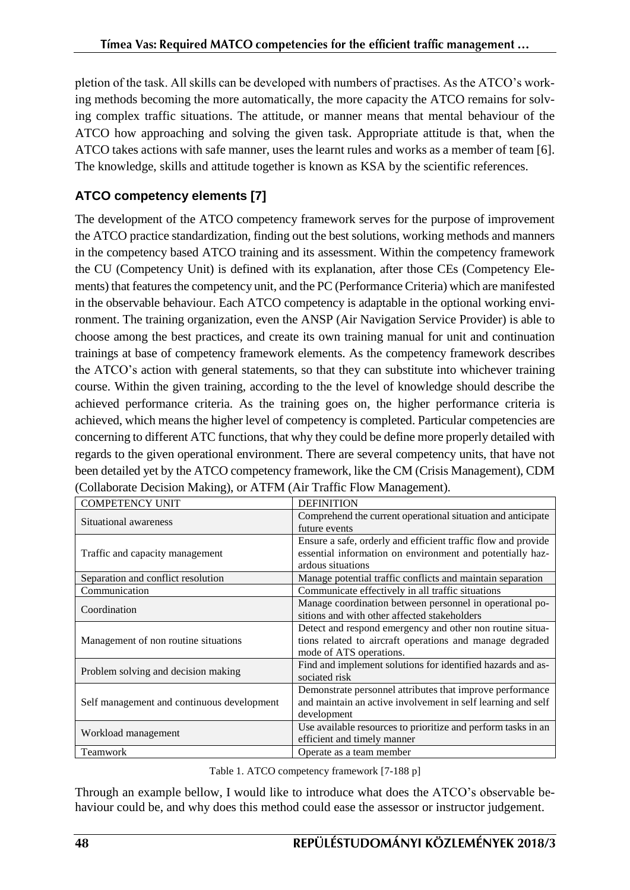pletion of the task. All skills can be developed with numbers of practises. As the ATCO's working methods becoming the more automatically, the more capacity the ATCO remains for solving complex traffic situations. The attitude, or manner means that mental behaviour of the ATCO how approaching and solving the given task. Appropriate attitude is that, when the ATCO takes actions with safe manner, uses the learnt rules and works as a member of team [6]. The knowledge, skills and attitude together is known as KSA by the scientific references.

### **ATCO competency elements [7]**

The development of the ATCO competency framework serves for the purpose of improvement the ATCO practice standardization, finding out the best solutions, working methods and manners in the competency based ATCO training and its assessment. Within the competency framework the CU (Competency Unit) is defined with its explanation, after those CEs (Competency Elements) that features the competency unit, and the PC (Performance Criteria) which are manifested in the observable behaviour. Each ATCO competency is adaptable in the optional working environment. The training organization, even the ANSP (Air Navigation Service Provider) is able to choose among the best practices, and create its own training manual for unit and continuation trainings at base of competency framework elements. As the competency framework describes the ATCO's action with general statements, so that they can substitute into whichever training course. Within the given training, according to the the level of knowledge should describe the achieved performance criteria. As the training goes on, the higher performance criteria is achieved, which means the higher level of competency is completed. Particular competencies are concerning to different ATC functions, that why they could be define more properly detailed with regards to the given operational environment. There are several competency units, that have not been detailed yet by the ATCO competency framework, like the CM (Crisis Management), CDM (Collaborate Decision Making), or ATFM (Air Traffic Flow Management).

| <b>COMPETENCY UNIT</b>                     | <b>DEFINITION</b>                                             |
|--------------------------------------------|---------------------------------------------------------------|
| Situational awareness                      | Comprehend the current operational situation and anticipate   |
|                                            | future events                                                 |
|                                            | Ensure a safe, orderly and efficient traffic flow and provide |
| Traffic and capacity management            | essential information on environment and potentially haz-     |
|                                            | ardous situations                                             |
| Separation and conflict resolution         | Manage potential traffic conflicts and maintain separation    |
| Communication                              | Communicate effectively in all traffic situations             |
| Coordination                               | Manage coordination between personnel in operational po-      |
|                                            | sitions and with other affected stakeholders                  |
| Management of non routine situations       | Detect and respond emergency and other non routine situa-     |
|                                            | tions related to aircraft operations and manage degraded      |
|                                            | mode of ATS operations.                                       |
| Problem solving and decision making        | Find and implement solutions for identified hazards and as-   |
|                                            | sociated risk                                                 |
| Self management and continuous development | Demonstrate personnel attributes that improve performance     |
|                                            | and maintain an active involvement in self learning and self  |
|                                            | development                                                   |
| Workload management                        | Use available resources to prioritize and perform tasks in an |
|                                            | efficient and timely manner                                   |
| Teamwork                                   | Operate as a team member                                      |

Table 1. ATCO competency framework [7-188 p]

Through an example bellow, I would like to introduce what does the ATCO's observable behaviour could be, and why does this method could ease the assessor or instructor judgement.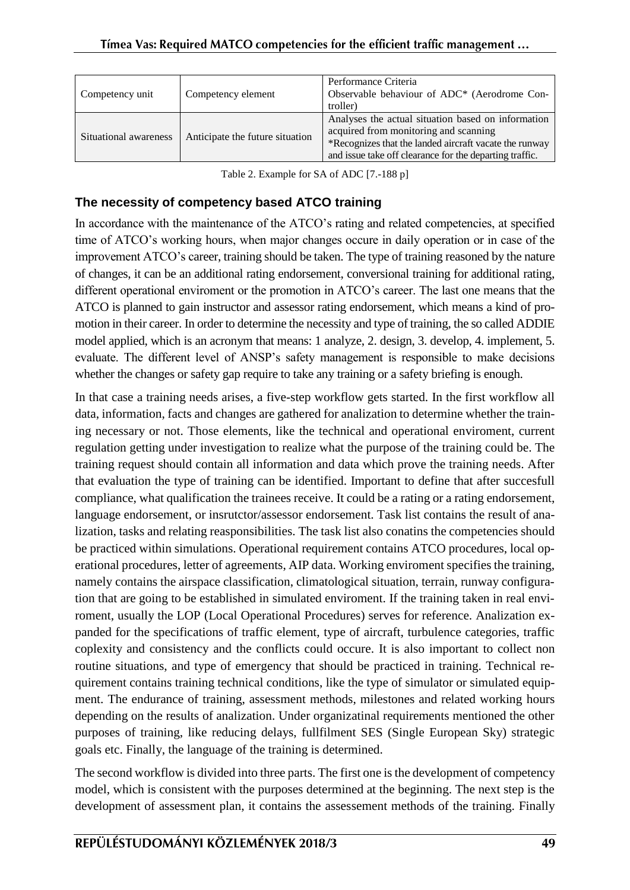| Competency unit       | Competency element              | Performance Criteria<br>Observable behaviour of ADC* (Aerodrome Con-<br>troller)                                                                                                                                 |
|-----------------------|---------------------------------|------------------------------------------------------------------------------------------------------------------------------------------------------------------------------------------------------------------|
| Situational awareness | Anticipate the future situation | Analyses the actual situation based on information<br>acquired from monitoring and scanning<br>*Recognizes that the landed aircraft vacate the runway<br>and issue take off clearance for the departing traffic. |

Table 2. Example for SA of ADC [7.-188 p]

#### **The necessity of competency based ATCO training**

In accordance with the maintenance of the ATCO's rating and related competencies, at specified time of ATCO's working hours, when major changes occure in daily operation or in case of the improvement ATCO's career, training should be taken. The type of training reasoned by the nature of changes, it can be an additional rating endorsement, conversional training for additional rating, different operational enviroment or the promotion in ATCO's career. The last one means that the ATCO is planned to gain instructor and assessor rating endorsement, which means a kind of promotion in their career. In order to determine the necessity and type of training, the so called ADDIE model applied, which is an acronym that means: 1 analyze, 2. design, 3. develop, 4. implement, 5. evaluate. The different level of ANSP's safety management is responsible to make decisions whether the changes or safety gap require to take any training or a safety briefing is enough.

In that case a training needs arises, a five-step workflow gets started. In the first workflow all data, information, facts and changes are gathered for analization to determine whether the training necessary or not. Those elements, like the technical and operational enviroment, current regulation getting under investigation to realize what the purpose of the training could be. The training request should contain all information and data which prove the training needs. After that evaluation the type of training can be identified. Important to define that after succesfull compliance, what qualification the trainees receive. It could be a rating or a rating endorsement, language endorsement, or insrutctor/assessor endorsement. Task list contains the result of analization, tasks and relating reasponsibilities. The task list also conatins the competencies should be practiced within simulations. Operational requirement contains ATCO procedures, local operational procedures, letter of agreements, AIP data. Working enviroment specifies the training, namely contains the airspace classification, climatological situation, terrain, runway configuration that are going to be established in simulated enviroment. If the training taken in real enviroment, usually the LOP (Local Operational Procedures) serves for reference. Analization expanded for the specifications of traffic element, type of aircraft, turbulence categories, traffic coplexity and consistency and the conflicts could occure. It is also important to collect non routine situations, and type of emergency that should be practiced in training. Technical requirement contains training technical conditions, like the type of simulator or simulated equipment. The endurance of training, assessment methods, milestones and related working hours depending on the results of analization. Under organizatinal requirements mentioned the other purposes of training, like reducing delays, fullfilment SES (Single European Sky) strategic goals etc. Finally, the language of the training is determined.

The second workflow is divided into three parts. The first one is the development of competency model, which is consistent with the purposes determined at the beginning. The next step is the development of assessment plan, it contains the assessement methods of the training. Finally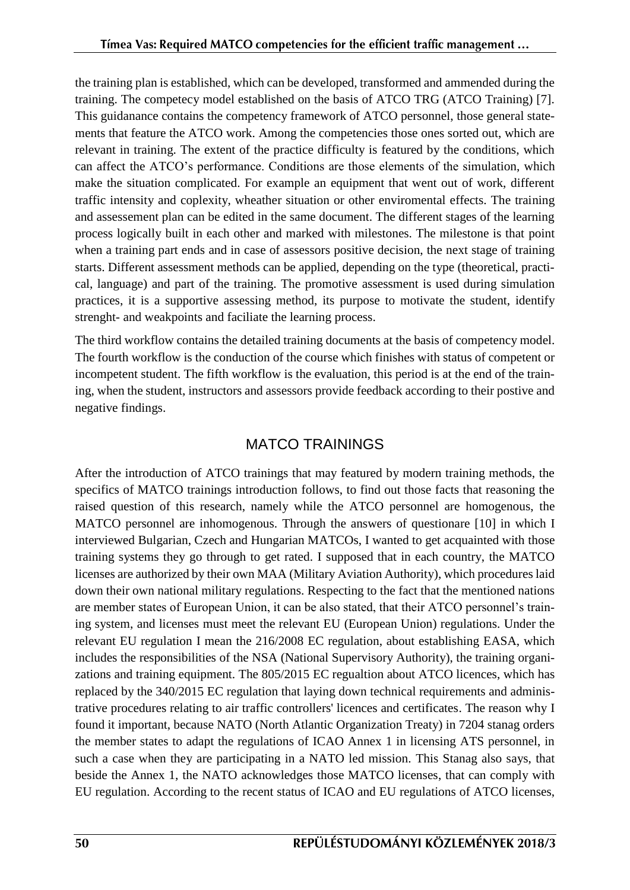the training plan is established, which can be developed, transformed and ammended during the training. The competecy model established on the basis of ATCO TRG (ATCO Training) [7]. This guidanance contains the competency framework of ATCO personnel, those general statements that feature the ATCO work. Among the competencies those ones sorted out, which are relevant in training. The extent of the practice difficulty is featured by the conditions, which can affect the ATCO's performance. Conditions are those elements of the simulation, which make the situation complicated. For example an equipment that went out of work, different traffic intensity and coplexity, wheather situation or other enviromental effects. The training and assessement plan can be edited in the same document. The different stages of the learning process logically built in each other and marked with milestones. The milestone is that point when a training part ends and in case of assessors positive decision, the next stage of training starts. Different assessment methods can be applied, depending on the type (theoretical, practical, language) and part of the training. The promotive assessment is used during simulation practices, it is a supportive assessing method, its purpose to motivate the student, identify strenght- and weakpoints and faciliate the learning process.

The third workflow contains the detailed training documents at the basis of competency model. The fourth workflow is the conduction of the course which finishes with status of competent or incompetent student. The fifth workflow is the evaluation, this period is at the end of the training, when the student, instructors and assessors provide feedback according to their postive and negative findings.

## MATCO TRAININGS

After the introduction of ATCO trainings that may featured by modern training methods, the specifics of MATCO trainings introduction follows, to find out those facts that reasoning the raised question of this research, namely while the ATCO personnel are homogenous, the MATCO personnel are inhomogenous. Through the answers of questionare [10] in which I interviewed Bulgarian, Czech and Hungarian MATCOs, I wanted to get acquainted with those training systems they go through to get rated. I supposed that in each country, the MATCO licenses are authorized by their own MAA (Military Aviation Authority), which procedures laid down their own national military regulations. Respecting to the fact that the mentioned nations are member states of European Union, it can be also stated, that their ATCO personnel's training system, and licenses must meet the relevant EU (European Union) regulations. Under the relevant EU regulation I mean the 216/2008 EC regulation, about establishing EASA, which includes the responsibilities of the NSA (National Supervisory Authority), the training organizations and training equipment. The 805/2015 EC regualtion about ATCO licences, which has replaced by the 340/2015 EC regulation that laying down technical requirements and administrative procedures relating to air traffic controllers' licences and certificates. The reason why I found it important, because NATO (North Atlantic Organization Treaty) in 7204 stanag orders the member states to adapt the regulations of ICAO Annex 1 in licensing ATS personnel, in such a case when they are participating in a NATO led mission. This Stanag also says, that beside the Annex 1, the NATO acknowledges those MATCO licenses, that can comply with EU regulation. According to the recent status of ICAO and EU regulations of ATCO licenses,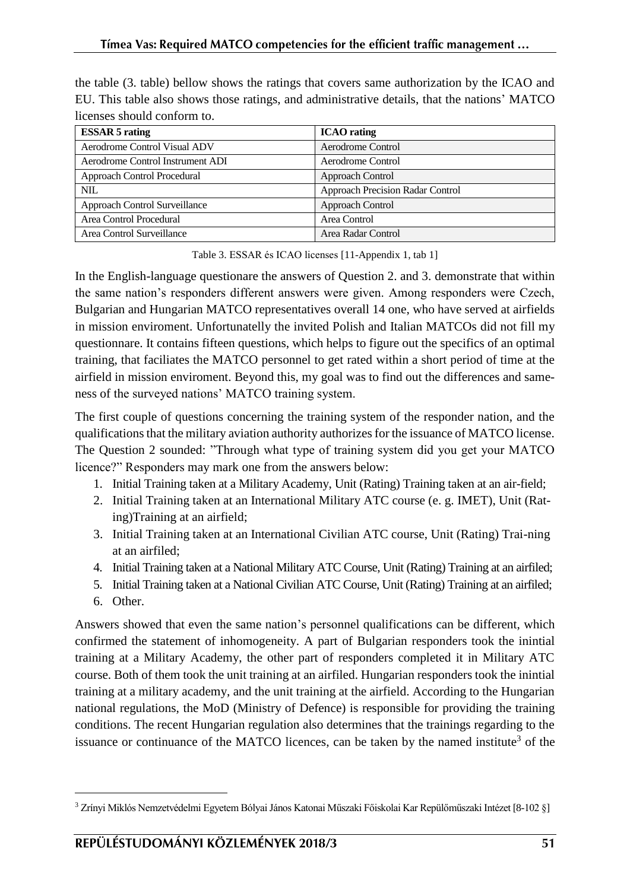| licenses should conform to.                                                                  |  |
|----------------------------------------------------------------------------------------------|--|
| EU. This table also shows those ratings, and administrative details, that the nations' MATCO |  |
| the table (3. table) bellow shows the ratings that covers same authorization by the ICAO and |  |

| <b>ESSAR 5 rating</b>            | <b>ICAO</b> rating               |
|----------------------------------|----------------------------------|
| Aerodrome Control Visual ADV     | Aerodrome Control                |
| Aerodrome Control Instrument ADI | Aerodrome Control                |
| Approach Control Procedural      | Approach Control                 |
| <b>NIL</b>                       | Approach Precision Radar Control |
| Approach Control Surveillance    | Approach Control                 |
| Area Control Procedural          | Area Control                     |
| Area Control Surveillance        | Area Radar Control               |

Table 3. ESSAR és ICAO licenses [11-Appendix 1, tab 1]

In the English-language questionare the answers of Question 2. and 3. demonstrate that within the same nation's responders different answers were given. Among responders were Czech, Bulgarian and Hungarian MATCO representatives overall 14 one, who have served at airfields in mission enviroment. Unfortunatelly the invited Polish and Italian MATCOs did not fill my questionnare. It contains fifteen questions, which helps to figure out the specifics of an optimal training, that faciliates the MATCO personnel to get rated within a short period of time at the airfield in mission enviroment. Beyond this, my goal was to find out the differences and sameness of the surveyed nations' MATCO training system.

The first couple of questions concerning the training system of the responder nation, and the qualifications that the military aviation authority authorizes for the issuance of MATCO license. The Question 2 sounded: "Through what type of training system did you get your MATCO licence?" Responders may mark one from the answers below:

- 1. Initial Training taken at a Military Academy, Unit (Rating) Training taken at an air-field;
- 2. Initial Training taken at an International Military ATC course (e. g. IMET), Unit (Rating)Training at an airfield;
- 3. Initial Training taken at an International Civilian ATC course, Unit (Rating) Trai-ning at an airfiled;
- 4. Initial Training taken at a National Military ATC Course, Unit (Rating) Training at an airfiled;
- 5. Initial Training taken at a National Civilian ATC Course, Unit (Rating) Training at an airfiled;
- 6. Other.

 $\overline{a}$ 

Answers showed that even the same nation's personnel qualifications can be different, which confirmed the statement of inhomogeneity. A part of Bulgarian responders took the inintial training at a Military Academy, the other part of responders completed it in Military ATC course. Both of them took the unit training at an airfiled. Hungarian responders took the inintial training at a military academy, and the unit training at the airfield. According to the Hungarian national regulations, the MoD (Ministry of Defence) is responsible for providing the training conditions. The recent Hungarian regulation also determines that the trainings regarding to the issuance or continuance of the MATCO licences, can be taken by the named institute<sup>3</sup> of the

<sup>3</sup> Zrínyi Miklós Nemzetvédelmi Egyetem Bólyai János Katonai Műszaki Főiskolai Kar Repülőműszaki Intézet [8-102 §]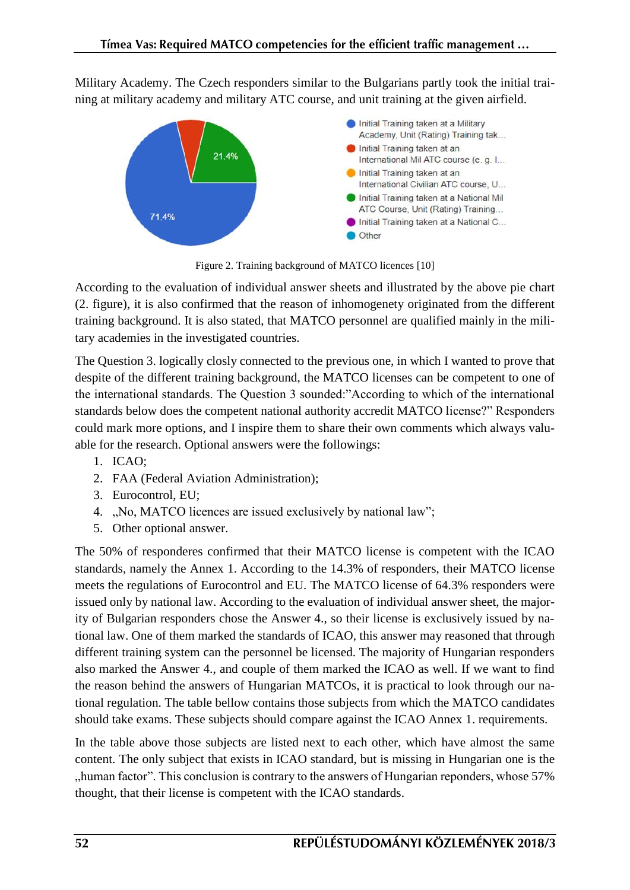Military Academy. The Czech responders similar to the Bulgarians partly took the initial training at military academy and military ATC course, and unit training at the given airfield.



Figure 2. Training background of MATCO licences [10]

According to the evaluation of individual answer sheets and illustrated by the above pie chart (2. figure), it is also confirmed that the reason of inhomogenety originated from the different training background. It is also stated, that MATCO personnel are qualified mainly in the military academies in the investigated countries.

The Question 3. logically closly connected to the previous one, in which I wanted to prove that despite of the different training background, the MATCO licenses can be competent to one of the international standards. The Question 3 sounded:"According to which of the international standards below does the competent national authority accredit MATCO license?" Responders could mark more options, and I inspire them to share their own comments which always valuable for the research. Optional answers were the followings:

- 1. ICAO;
- 2. FAA (Federal Aviation Administration);
- 3. Eurocontrol, EU;
- 4. "No, MATCO licences are issued exclusively by national law";
- 5. Other optional answer.

The 50% of responderes confirmed that their MATCO license is competent with the ICAO standards, namely the Annex 1. According to the 14.3% of responders, their MATCO license meets the regulations of Eurocontrol and EU. The MATCO license of 64.3% responders were issued only by national law. According to the evaluation of individual answer sheet, the majority of Bulgarian responders chose the Answer 4., so their license is exclusively issued by national law. One of them marked the standards of ICAO, this answer may reasoned that through different training system can the personnel be licensed. The majority of Hungarian responders also marked the Answer 4., and couple of them marked the ICAO as well. If we want to find the reason behind the answers of Hungarian MATCOs, it is practical to look through our national regulation. The table bellow contains those subjects from which the MATCO candidates should take exams. These subjects should compare against the ICAO Annex 1. requirements.

In the table above those subjects are listed next to each other, which have almost the same content. The only subject that exists in ICAO standard, but is missing in Hungarian one is the "human factor". This conclusion is contrary to the answers of Hungarian reponders, whose 57% thought, that their license is competent with the ICAO standards.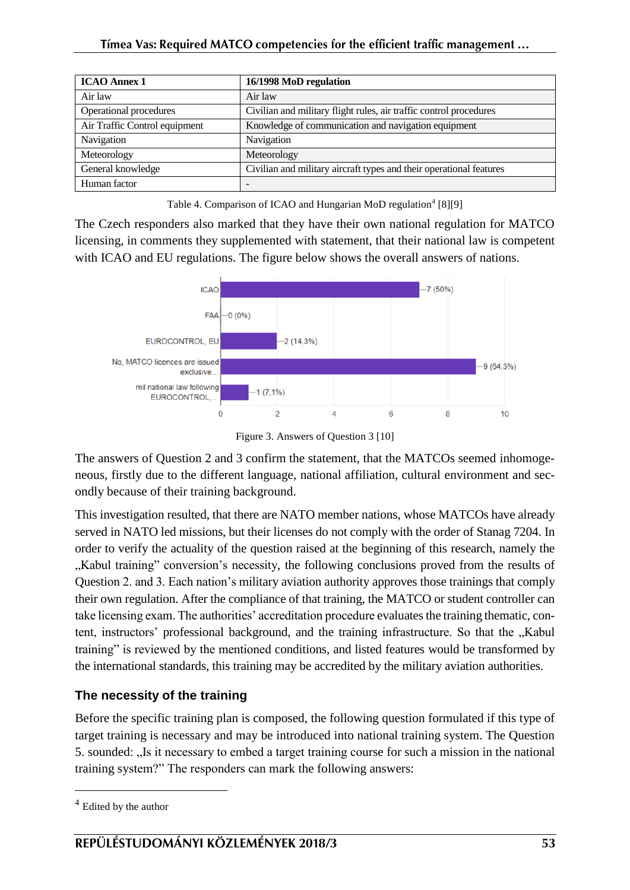| <b>ICAO Annex 1</b>           | 16/1998 MoD regulation                                              |
|-------------------------------|---------------------------------------------------------------------|
| Air law                       | Air law                                                             |
| Operational procedures        | Civilian and military flight rules, air traffic control procedures  |
| Air Traffic Control equipment | Knowledge of communication and navigation equipment                 |
| Navigation                    | Navigation                                                          |
| Meteorology                   | Meteorology                                                         |
| General knowledge             | Civilian and military aircraft types and their operational features |
| Human factor                  | -                                                                   |

Table 4. Comparison of ICAO and Hungarian MoD regulation<sup>4</sup> [8][9]

The Czech responders also marked that they have their own national regulation for MATCO licensing, in comments they supplemented with statement, that their national law is competent with ICAO and EU regulations. The figure below shows the overall answers of nations.



Figure 3. Answers of Question 3 [10]

The answers of Question 2 and 3 confirm the statement, that the MATCOs seemed inhomogeneous, firstly due to the different language, national affiliation, cultural environment and secondly because of their training background.

This investigation resulted, that there are NATO member nations, whose MATCOs have already served in NATO led missions, but their licenses do not comply with the order of Stanag 7204. In order to verify the actuality of the question raised at the beginning of this research, namely the "Kabul training" conversion's necessity, the following conclusions proved from the results of Question 2. and 3. Each nation's military aviation authority approves those trainings that comply their own regulation. After the compliance of that training, the MATCO or student controller can take licensing exam. The authorities' accreditation procedure evaluates the training thematic, content, instructors' professional background, and the training infrastructure. So that the "Kabul training" is reviewed by the mentioned conditions, and listed features would be transformed by the international standards, this training may be accredited by the military aviation authorities.

### **The necessity of the training**

Before the specific training plan is composed, the following question formulated if this type of target training is necessary and may be introduced into national training system. The Question 5. sounded: "Is it necessary to embed a target training course for such a mission in the national training system?" The responders can mark the following answers:

 $\overline{a}$ 

<sup>4</sup> Edited by the author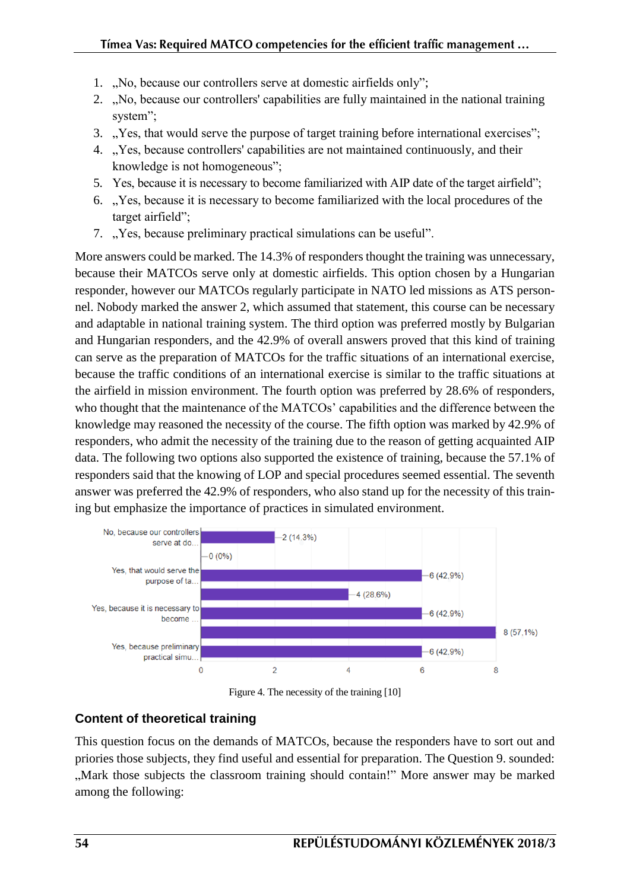- 1. "No, because our controllers serve at domestic airfields only";
- 2. "No, because our controllers' capabilities are fully maintained in the national training system";
- 3. "Yes, that would serve the purpose of target training before international exercises";
- 4. "Yes, because controllers' capabilities are not maintained continuously, and their knowledge is not homogeneous";
- 5. Yes, because it is necessary to become familiarized with AIP date of the target airfield";
- 6. "Yes, because it is necessary to become familiarized with the local procedures of the target airfield";
- 7. "Yes, because preliminary practical simulations can be useful".

More answers could be marked. The 14.3% of responders thought the training was unnecessary, because their MATCOs serve only at domestic airfields. This option chosen by a Hungarian responder, however our MATCOs regularly participate in NATO led missions as ATS personnel. Nobody marked the answer 2, which assumed that statement, this course can be necessary and adaptable in national training system. The third option was preferred mostly by Bulgarian and Hungarian responders, and the 42.9% of overall answers proved that this kind of training can serve as the preparation of MATCOs for the traffic situations of an international exercise, because the traffic conditions of an international exercise is similar to the traffic situations at the airfield in mission environment. The fourth option was preferred by 28.6% of responders, who thought that the maintenance of the MATCOs' capabilities and the difference between the knowledge may reasoned the necessity of the course. The fifth option was marked by 42.9% of responders, who admit the necessity of the training due to the reason of getting acquainted AIP data. The following two options also supported the existence of training, because the 57.1% of responders said that the knowing of LOP and special procedures seemed essential. The seventh answer was preferred the 42.9% of responders, who also stand up for the necessity of this training but emphasize the importance of practices in simulated environment.



Figure 4. The necessity of the training [10]

### **Content of theoretical training**

This question focus on the demands of MATCOs, because the responders have to sort out and priories those subjects, they find useful and essential for preparation. The Question 9. sounded: "Mark those subjects the classroom training should contain!" More answer may be marked among the following: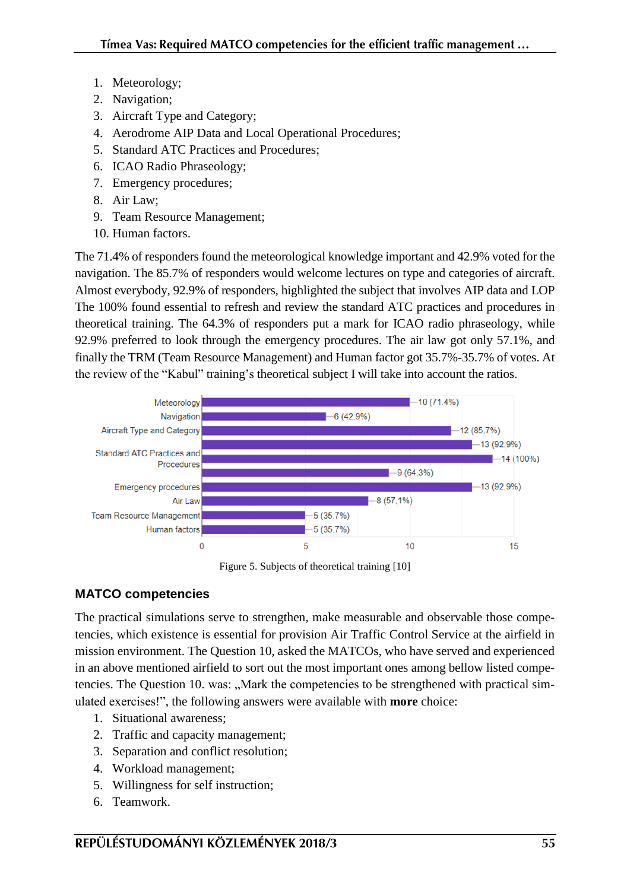- 1. Meteorology;
- 2. Navigation;
- 3. Aircraft Type and Category;
- 4. Aerodrome AIP Data and Local Operational Procedures;
- 5. Standard ATC Practices and Procedures;
- 6. ICAO Radio Phraseology;
- 7. Emergency procedures;
- 8. Air Law;
- 9. Team Resource Management;
- 10. Human factors.

The 71.4% of responders found the meteorological knowledge important and 42.9% voted for the navigation. The 85.7% of responders would welcome lectures on type and categories of aircraft. Almost everybody, 92.9% of responders, highlighted the subject that involves AIP data and LOP The 100% found essential to refresh and review the standard ATC practices and procedures in theoretical training. The 64.3% of responders put a mark for ICAO radio phraseology, while 92.9% preferred to look through the emergency procedures. The air law got only 57.1%, and finally the TRM (Team Resource Management) and Human factor got 35.7%-35.7% of votes. At the review of the "Kabul" training's theoretical subject I will take into account the ratios.



Figure 5. Subjects of theoretical training [10]

### **MATCO competencies**

The practical simulations serve to strengthen, make measurable and observable those competencies, which existence is essential for provision Air Traffic Control Service at the airfield in mission environment. The Question 10, asked the MATCOs, who have served and experienced in an above mentioned airfield to sort out the most important ones among bellow listed competencies. The Question 10. was: "Mark the competencies to be strengthened with practical simulated exercises!", the following answers were available with **more** choice:

- 1. Situational awareness;
- 2. Traffic and capacity management;
- 3. Separation and conflict resolution;
- 4. Workload management;
- 5. Willingness for self instruction;
- 6. Teamwork.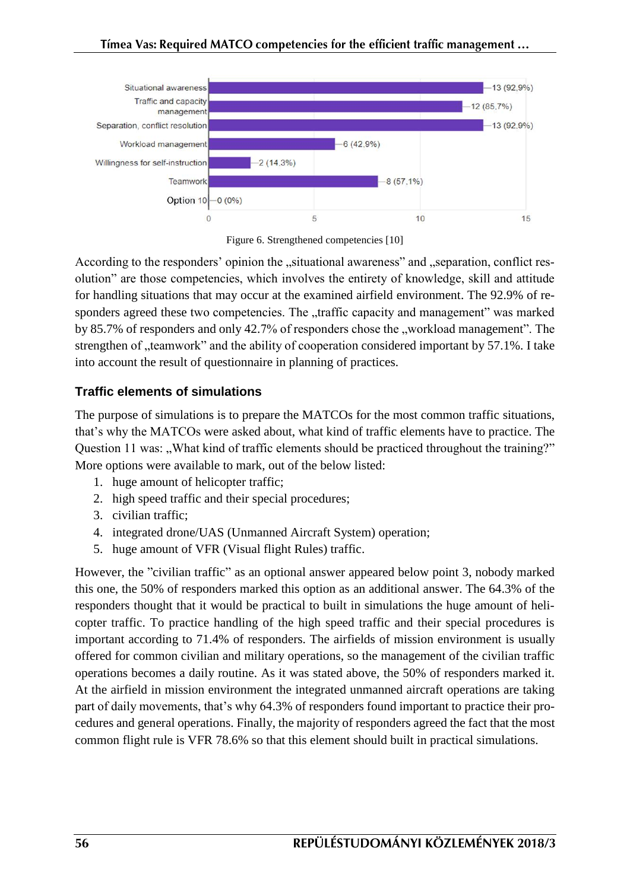

Figure 6. Strengthened competencies [10]

According to the responders' opinion the "situational awareness" and "separation, conflict resolution" are those competencies, which involves the entirety of knowledge, skill and attitude for handling situations that may occur at the examined airfield environment. The 92.9% of responders agreed these two competencies. The "traffic capacity and management" was marked by 85.7% of responders and only 42.7% of responders chose the , workload management". The strengthen of "teamwork" and the ability of cooperation considered important by 57.1%. I take into account the result of questionnaire in planning of practices.

### **Traffic elements of simulations**

The purpose of simulations is to prepare the MATCOs for the most common traffic situations, that's why the MATCOs were asked about, what kind of traffic elements have to practice. The Question 11 was: "What kind of traffic elements should be practiced throughout the training?" More options were available to mark, out of the below listed:

- 1. huge amount of helicopter traffic;
- 2. high speed traffic and their special procedures;
- 3. civilian traffic;
- 4. integrated drone/UAS (Unmanned Aircraft System) operation;
- 5. huge amount of VFR (Visual flight Rules) traffic.

However, the "civilian traffic" as an optional answer appeared below point 3, nobody marked this one, the 50% of responders marked this option as an additional answer. The 64.3% of the responders thought that it would be practical to built in simulations the huge amount of helicopter traffic. To practice handling of the high speed traffic and their special procedures is important according to 71.4% of responders. The airfields of mission environment is usually offered for common civilian and military operations, so the management of the civilian traffic operations becomes a daily routine. As it was stated above, the 50% of responders marked it. At the airfield in mission environment the integrated unmanned aircraft operations are taking part of daily movements, that's why 64.3% of responders found important to practice their procedures and general operations. Finally, the majority of responders agreed the fact that the most common flight rule is VFR 78.6% so that this element should built in practical simulations.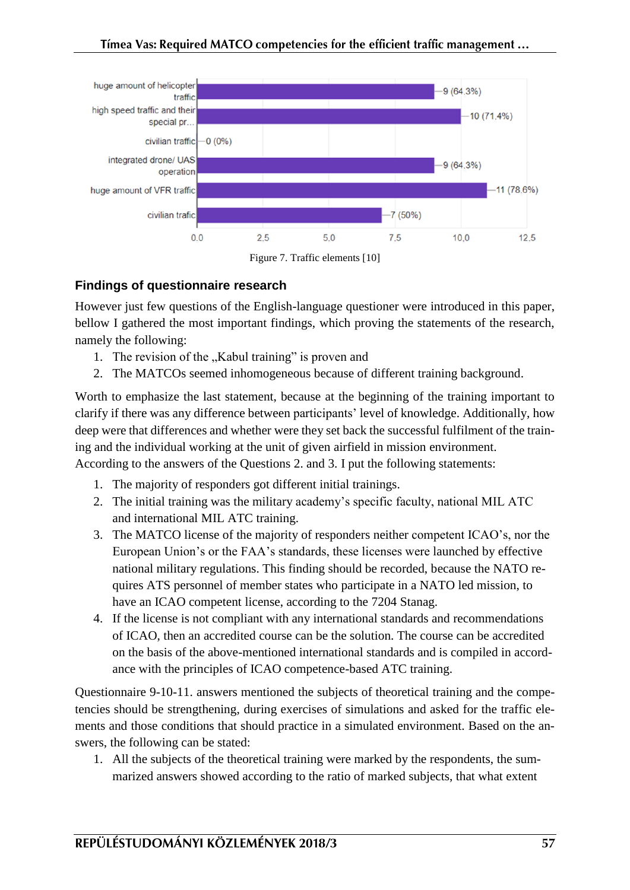

#### **Findings of questionnaire research**

However just few questions of the English-language questioner were introduced in this paper, bellow I gathered the most important findings, which proving the statements of the research, namely the following:

- 1. The revision of the "Kabul training" is proven and
- 2. The MATCOs seemed inhomogeneous because of different training background.

Worth to emphasize the last statement, because at the beginning of the training important to clarify if there was any difference between participants' level of knowledge. Additionally, how deep were that differences and whether were they set back the successful fulfilment of the training and the individual working at the unit of given airfield in mission environment. According to the answers of the Questions 2. and 3. I put the following statements:

- 1. The majority of responders got different initial trainings.
- 2. The initial training was the military academy's specific faculty, national MIL ATC and international MIL ATC training.
- 3. The MATCO license of the majority of responders neither competent ICAO's, nor the European Union's or the FAA's standards, these licenses were launched by effective national military regulations. This finding should be recorded, because the NATO requires ATS personnel of member states who participate in a NATO led mission, to have an ICAO competent license, according to the 7204 Stanag.
- 4. If the license is not compliant with any international standards and recommendations of ICAO, then an accredited course can be the solution. The course can be accredited on the basis of the above-mentioned international standards and is compiled in accordance with the principles of ICAO competence-based ATC training.

Questionnaire 9-10-11. answers mentioned the subjects of theoretical training and the competencies should be strengthening, during exercises of simulations and asked for the traffic elements and those conditions that should practice in a simulated environment. Based on the answers, the following can be stated:

1. All the subjects of the theoretical training were marked by the respondents, the summarized answers showed according to the ratio of marked subjects, that what extent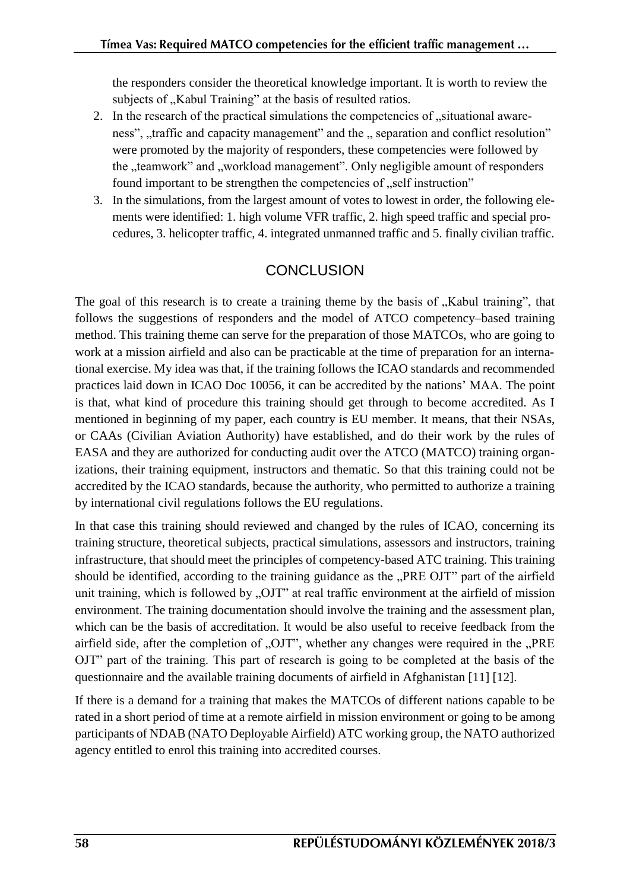the responders consider the theoretical knowledge important. It is worth to review the subjects of "Kabul Training" at the basis of resulted ratios.

- 2. In the research of the practical simulations the competencies of "situational awareness", "traffic and capacity management" and the " separation and conflict resolution" were promoted by the majority of responders, these competencies were followed by the "teamwork" and "workload management". Only negligible amount of responders found important to be strengthen the competencies of "self instruction"
- 3. In the simulations, from the largest amount of votes to lowest in order, the following elements were identified: 1. high volume VFR traffic, 2. high speed traffic and special procedures, 3. helicopter traffic, 4. integrated unmanned traffic and 5. finally civilian traffic.

## **CONCLUSION**

The goal of this research is to create a training theme by the basis of "Kabul training", that follows the suggestions of responders and the model of ATCO competency–based training method. This training theme can serve for the preparation of those MATCOs, who are going to work at a mission airfield and also can be practicable at the time of preparation for an international exercise. My idea was that, if the training follows the ICAO standards and recommended practices laid down in ICAO Doc 10056, it can be accredited by the nations' MAA. The point is that, what kind of procedure this training should get through to become accredited. As I mentioned in beginning of my paper, each country is EU member. It means, that their NSAs, or CAAs (Civilian Aviation Authority) have established, and do their work by the rules of EASA and they are authorized for conducting audit over the ATCO (MATCO) training organizations, their training equipment, instructors and thematic. So that this training could not be accredited by the ICAO standards, because the authority, who permitted to authorize a training by international civil regulations follows the EU regulations.

In that case this training should reviewed and changed by the rules of ICAO, concerning its training structure, theoretical subjects, practical simulations, assessors and instructors, training infrastructure, that should meet the principles of competency-based ATC training. This training should be identified, according to the training guidance as the "PRE OJT" part of the airfield unit training, which is followed by "OJT" at real traffic environment at the airfield of mission environment. The training documentation should involve the training and the assessment plan, which can be the basis of accreditation. It would be also useful to receive feedback from the airfield side, after the completion of "OJT", whether any changes were required in the "PRE OJT" part of the training. This part of research is going to be completed at the basis of the questionnaire and the available training documents of airfield in Afghanistan [11] [12].

If there is a demand for a training that makes the MATCOs of different nations capable to be rated in a short period of time at a remote airfield in mission environment or going to be among participants of NDAB (NATO Deployable Airfield) ATC working group, the NATO authorized agency entitled to enrol this training into accredited courses.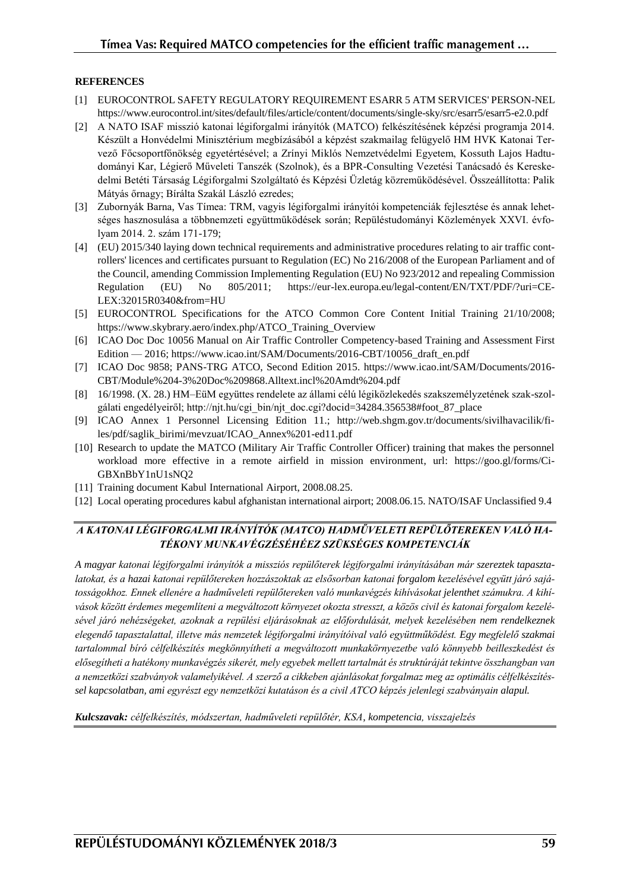#### **REFERENCES**

- [1] EUROCONTROL SAFETY REGULATORY REQUIREMENT ESARR 5 ATM SERVICES' PERSON-NEL https://www.eurocontrol.int/sites/default/files/article/content/documents/single-sky/src/esarr5/esarr5-e2.0.pdf
- [2] A NATO ISAF misszió katonai légiforgalmi irányítók (MATCO) felkészítésének képzési programja 2014. Készült a Honvédelmi Minisztérium megbízásából a képzést szakmailag felügyelő HM HVK Katonai Tervező Főcsoportfőnökség egyetértésével; a Zrínyi Miklós Nemzetvédelmi Egyetem, Kossuth Lajos Hadtudományi Kar, Légierő Műveleti Tanszék (Szolnok), és a BPR-Consulting Vezetési Tanácsadó és Kereskedelmi Betéti Társaság Légiforgalmi Szolgáltató és Képzési Üzletág közreműködésével. Összeállította: Palik Mátyás őrnagy; Bírálta Szakál László ezredes;
- [3] Zubornyák Barna, Vas Tímea: TRM, vagyis légiforgalmi irányítói kompetenciák fejlesztése és annak lehetséges hasznosulása a többnemzeti együttműködések során; Repüléstudományi Közlemények XXVI. évfolyam 2014. 2. szám 171-179;
- [4] (EU) 2015/340 laying down technical requirements and administrative procedures relating to air traffic controllers' licences and certificates pursuant to Regulation (EC) No 216/2008 of the European Parliament and of the Council, amending Commission Implementing Regulation (EU) No 923/2012 and repealing Commission Regulation (EU) No 805/2011; https://eur-lex.europa.eu/legal-content/EN/TXT/PDF/?uri=CE-LEX:32015R0340&from=HU
- [5] EUROCONTROL Specifications for the ATCO Common Core Content Initial Training 21/10/2008; https://www.skybrary.aero/index.php/ATCO\_Training\_Overview
- [6] ICAO Doc Doc 10056 Manual on Air Traffic Controller Competency-based Training and Assessment First Edition — 2016; https://www.icao.int/SAM/Documents/2016-CBT/10056\_draft\_en.pdf
- [7] ICAO Doc 9858; PANS-TRG ATCO, Second Edition 2015. https://www.icao.int/SAM/Documents/2016- CBT/Module%204-3%20Doc%209868.Alltext.incl%20Amdt%204.pdf
- [8] 16/1998. (X. 28.) HM–EüM együttes rendelete az állami célú légiközlekedés szakszemélyzetének szak-szolgálati engedélyeiről; http://njt.hu/cgi\_bin/njt\_doc.cgi?docid=34284.356538#foot\_87\_place
- [9] ICAO Annex 1 Personnel Licensing Edition 11.; http://web.shgm.gov.tr/documents/sivilhavacilik/files/pdf/saglik\_birimi/mevzuat/ICAO\_Annex%201-ed11.pdf
- [10] Research to update the MATCO (Military Air Traffic Controller Officer) training that makes the personnel workload more effective in a remote airfield in mission environment, url: https://goo.gl/forms/Ci-GBXnBbY1nU1sNQ2
- [11] Training document Kabul International Airport, 2008.08.25.
- [12] Local operating procedures kabul afghanistan international airport; 2008.06.15. NATO/ISAF Unclassified 9.4

#### *A KATONAI LÉGIFORGALMI IRÁNYÍTÓK (MATCO) HADMŰVELETI REPÜLŐTEREKEN VALÓ HA-TÉKONY MUNKAVÉGZÉSÉHÉEZ SZÜKSÉGES KOMPETENCIÁK*

*A magyar katonai légiforgalmi irányítók a missziós repülőterek légiforgalmi irányításában már szereztek tapasztalatokat, és a hazai katonai repülőtereken hozzászoktak az elsősorban katonai forgalom kezelésével együtt járó sajátosságokhoz. Ennek ellenére a hadműveleti repülőtereken való munkavégzés kihívásokat jelenthet számukra. A kihívások között érdemes megemlíteni a megváltozott környezet okozta stresszt, a közös civil és katonai forgalom kezelésével járó nehézségeket, azoknak a repülési eljárásoknak az előfordulását, melyek kezelésében nem rendelkeznek elegendő tapasztalattal, illetve más nemzetek légiforgalmi irányítóival való együttműködést. Egy megfelelő szakmai tartalommal bíró célfelkészítés megkönnyítheti a megváltozott munkakörnyezetbe való könnyebb beilleszkedést és elősegítheti a hatékony munkavégzés sikerét, mely egyebek mellett tartalmát és struktúráját tekintve összhangban van a nemzetközi szabványok valamelyikével. A szerző a cikkeben ajánlásokat forgalmaz meg az optimális célfelkészítéssel kapcsolatban, ami egyrészt egy nemzetközi kutatáson és a civil ATCO képzés jelenlegi szabványain alapul.*

*Kulcszavak: célfelkészítés, módszertan, hadműveleti repülőtér, KSA, kompetencia, visszajelzés*